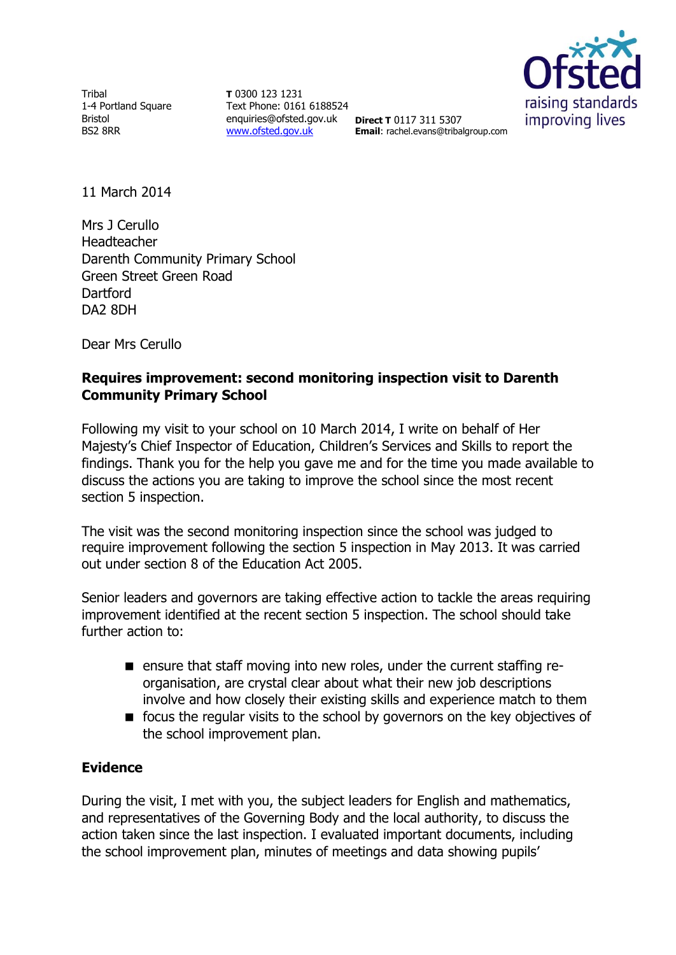Tribal 1-4 Portland Square Bristol BS2 8RR

**T** 0300 123 1231 Text Phone: 0161 6188524 enquiries@ofsted.gov.uk **Direct T** 0117 311 5307 [www.ofsted.gov.uk](http://www.ofsted.gov.uk/)



**Email**: rachel.evans@tribalgroup.com

11 March 2014

Mrs J Cerullo Headteacher Darenth Community Primary School Green Street Green Road **Dartford** DA2 8DH

Dear Mrs Cerullo

## **Requires improvement: second monitoring inspection visit to Darenth Community Primary School**

Following my visit to your school on 10 March 2014, I write on behalf of Her Majesty's Chief Inspector of Education, Children's Services and Skills to report the findings. Thank you for the help you gave me and for the time you made available to discuss the actions you are taking to improve the school since the most recent section 5 inspection.

The visit was the second monitoring inspection since the school was judged to require improvement following the section 5 inspection in May 2013. It was carried out under section 8 of the Education Act 2005.

Senior leaders and governors are taking effective action to tackle the areas requiring improvement identified at the recent section 5 inspection. The school should take further action to:

- ensure that staff moving into new roles, under the current staffing reorganisation, are crystal clear about what their new job descriptions involve and how closely their existing skills and experience match to them
- **f** focus the regular visits to the school by governors on the key objectives of the school improvement plan.

## **Evidence**

During the visit, I met with you, the subject leaders for English and mathematics, and representatives of the Governing Body and the local authority, to discuss the action taken since the last inspection. I evaluated important documents, including the school improvement plan, minutes of meetings and data showing pupils'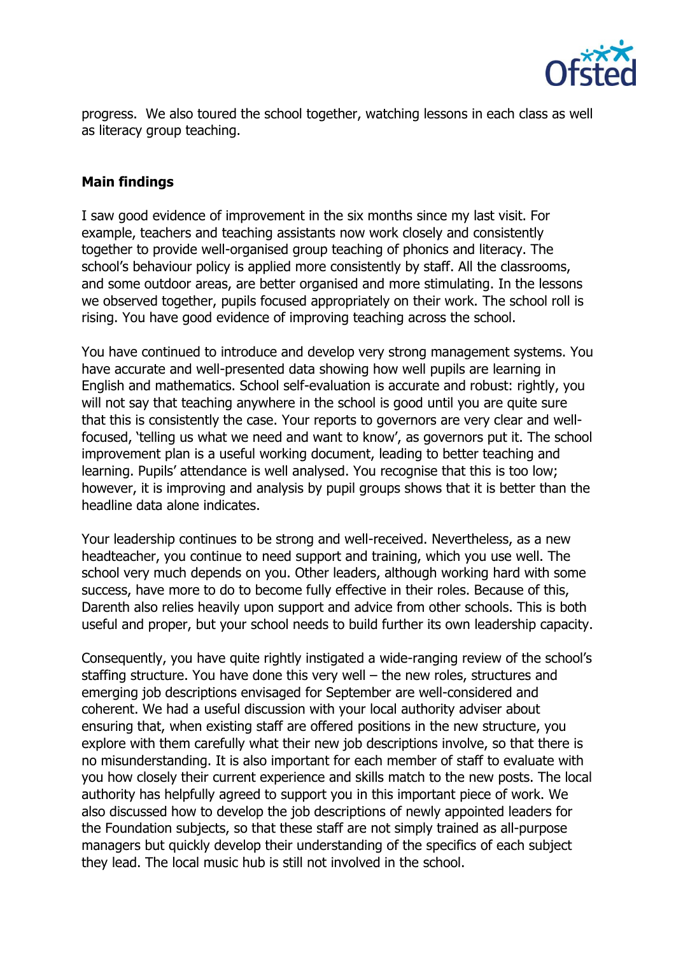

progress. We also toured the school together, watching lessons in each class as well as literacy group teaching.

## **Main findings**

I saw good evidence of improvement in the six months since my last visit. For example, teachers and teaching assistants now work closely and consistently together to provide well-organised group teaching of phonics and literacy. The school's behaviour policy is applied more consistently by staff. All the classrooms, and some outdoor areas, are better organised and more stimulating. In the lessons we observed together, pupils focused appropriately on their work. The school roll is rising. You have good evidence of improving teaching across the school.

You have continued to introduce and develop very strong management systems. You have accurate and well-presented data showing how well pupils are learning in English and mathematics. School self-evaluation is accurate and robust: rightly, you will not say that teaching anywhere in the school is good until you are quite sure that this is consistently the case. Your reports to governors are very clear and wellfocused, 'telling us what we need and want to know', as governors put it. The school improvement plan is a useful working document, leading to better teaching and learning. Pupils' attendance is well analysed. You recognise that this is too low; however, it is improving and analysis by pupil groups shows that it is better than the headline data alone indicates.

Your leadership continues to be strong and well-received. Nevertheless, as a new headteacher, you continue to need support and training, which you use well. The school very much depends on you. Other leaders, although working hard with some success, have more to do to become fully effective in their roles. Because of this, Darenth also relies heavily upon support and advice from other schools. This is both useful and proper, but your school needs to build further its own leadership capacity.

Consequently, you have quite rightly instigated a wide-ranging review of the school's staffing structure. You have done this very well – the new roles, structures and emerging job descriptions envisaged for September are well-considered and coherent. We had a useful discussion with your local authority adviser about ensuring that, when existing staff are offered positions in the new structure, you explore with them carefully what their new job descriptions involve, so that there is no misunderstanding. It is also important for each member of staff to evaluate with you how closely their current experience and skills match to the new posts. The local authority has helpfully agreed to support you in this important piece of work. We also discussed how to develop the job descriptions of newly appointed leaders for the Foundation subjects, so that these staff are not simply trained as all-purpose managers but quickly develop their understanding of the specifics of each subject they lead. The local music hub is still not involved in the school.